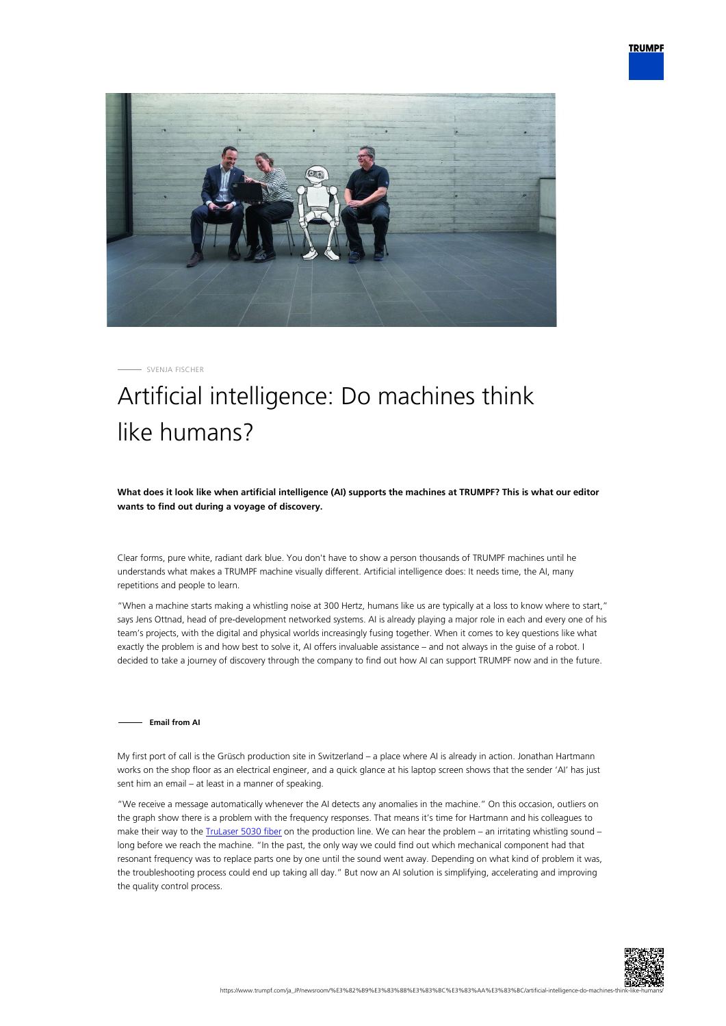



SVENJA FISCHER

# Artificial intelligence: Do machines think like humans?

**What does it look like when artificial intelligence (AI) supports the machines at TRUMPF? This is what our editor wants to find out during a voyage of discovery.**

Clear forms, pure white, radiant dark blue. You don't have to show a person thousands of TRUMPF machines until he understands what makes a TRUMPF machine visually different. Artificial intelligence does: It needs time, the AI, many repetitions and people to learn.

"When a machine starts making a whistling noise at 300 Hertz, humans like us are typically at a loss to know where to start," says Jens Ottnad, head of pre-development networked systems. AI is already playing a major role in each and every one of his team's projects, with the digital and physical worlds increasingly fusing together. When it comes to key questions like what exactly the problem is and how best to solve it, AI offers invaluable assistance – and not always in the guise of a robot. I decided to take a journey of discovery through the company to find out how AI can support TRUMPF now and in the future.

### **Email from AI**

My first port of call is the Grüsch production site in Switzerland – a place where AI is already in action. Jonathan Hartmann works on the shop floor as an electrical engineer, and a quick glance at his laptop screen shows that the sender 'AI' has just sent him an email – at least in a manner of speaking.

"We receive a message automatically whenever the AI detects any anomalies in the machine." On this occasion, outliers on the graph show there is a problem with the frequency responses. That means it's time for Hartmann and his colleagues to make their way to the *TruLaser 5030 fiber* on the production line. We can hear the problem – an irritating whistling sound – long before we reach the machine. "In the past, the only way we could find out which mechanical component had that resonant frequency was to replace parts one by one until the sound went away. Depending on what kind of problem it was, the troubleshooting process could end up taking all day." But now an AI solution is simplifying, accelerating and improving the quality control process.

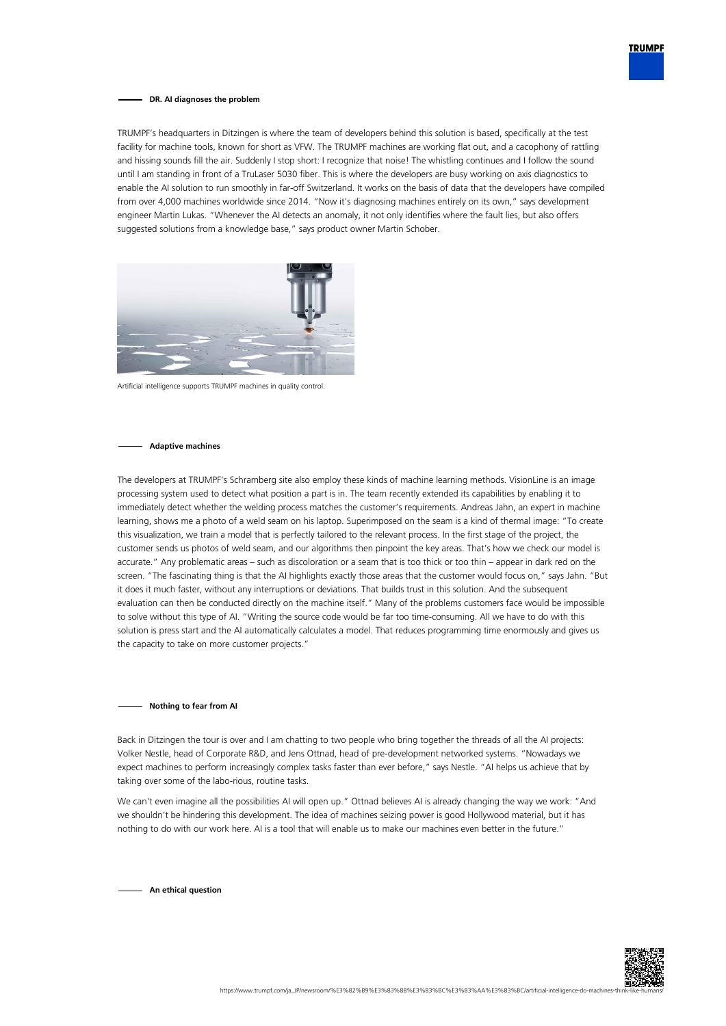

#### **DR. AI diagnoses the problem**

TRUMPF's headquarters in Ditzingen is where the team of developers behind this solution is based, specifically at the test facility for machine tools, known for short as VFW. The TRUMPF machines are working flat out, and a cacophony of rattling and hissing sounds fill the air. Suddenly I stop short: I recognize that noise! The whistling continues and I follow the sound until I am standing in front of a TruLaser 5030 fiber. This is where the developers are busy working on axis diagnostics to enable the AI solution to run smoothly in far-off Switzerland. It works on the basis of data that the developers have compiled from over 4,000 machines worldwide since 2014. "Now it's diagnosing machines entirely on its own," says development engineer Martin Lukas. "Whenever the AI detects an anomaly, it not only identifies where the fault lies, but also offers suggested solutions from a knowledge base," says product owner Martin Schober.



Artificial intelligence supports TRUMPF machines in quality control.

## **Adaptive machines**

The developers at TRUMPF's Schramberg site also employ these kinds of machine learning methods. VisionLine is an image processing system used to detect what position a part is in. The team recently extended its capabilities by enabling it to immediately detect whether the welding process matches the customer's requirements. Andreas Jahn, an expert in machine learning, shows me a photo of a weld seam on his laptop. Superimposed on the seam is a kind of thermal image: "To create this visualization, we train a model that is perfectly tailored to the relevant process. In the first stage of the project, the customer sends us photos of weld seam, and our algorithms then pinpoint the key areas. That's how we check our model is accurate." Any problematic areas – such as discoloration or a seam that is too thick or too thin – appear in dark red on the screen. "The fascinating thing is that the AI highlights exactly those areas that the customer would focus on," says Jahn. "But it does it much faster, without any interruptions or deviations. That builds trust in this solution. And the subsequent evaluation can then be conducted directly on the machine itself." Many of the problems customers face would be impossible to solve without this type of AI. "Writing the source code would be far too time-consuming. All we have to do with this solution is press start and the AI automatically calculates a model. That reduces programming time enormously and gives us the capacity to take on more customer projects."

#### **Nothing to fear from AI**

Back in Ditzingen the tour is over and I am chatting to two people who bring together the threads of all the AI projects: Volker Nestle, head of Corporate R&D, and Jens Ottnad, head of pre-development networked systems. "Nowadays we expect machines to perform increasingly complex tasks faster than ever before," says Nestle. "AI helps us achieve that by taking over some of the labo-rious, routine tasks.

We can't even imagine all the possibilities AI will open up." Ottnad believes AI is already changing the way we work: "And we shouldn't be hindering this development. The idea of machines seizing power is good Hollywood material, but it has nothing to do with our work here. AI is a tool that will enable us to make our machines even better in the future."

**An ethical question**